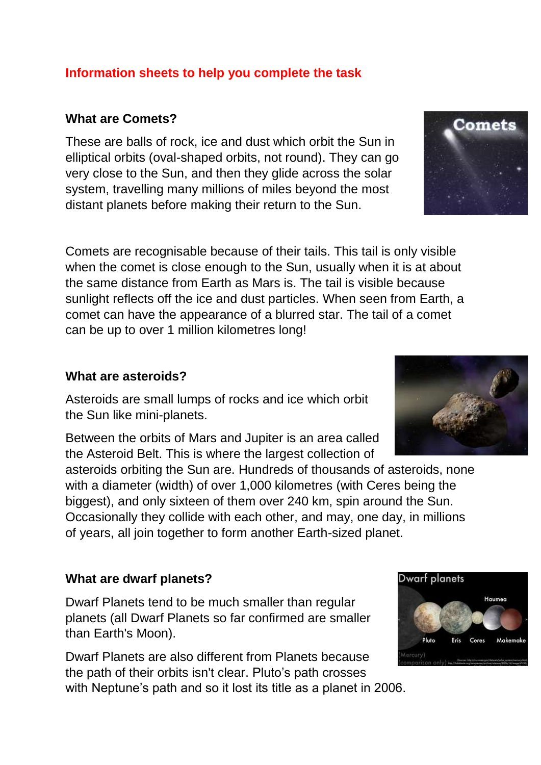### **Information sheets to help you complete the task**

### **What are Comets?**

These are balls of rock, ice and dust which orbit the Sun in elliptical orbits (oval-shaped orbits, not round). They can go very close to the Sun, and then they glide across the solar system, travelling many millions of miles beyond the most distant planets before making their return to the Sun.

Comets are recognisable because of their tails. This tail is only visible when the comet is close enough to the Sun, usually when it is at about the same distance from Earth as Mars is. The tail is visible because sunlight reflects off the ice and dust particles. When seen from Earth, a comet can have the appearance of a blurred star. The tail of a comet can be up to over 1 million kilometres long!

#### **What are asteroids?**

Asteroids are small lumps of rocks and ice which orbit the Sun like mini-planets.

Between the orbits of Mars and Jupiter is an area called the Asteroid Belt. This is where the largest collection of

asteroids orbiting the Sun are. Hundreds of thousands of asteroids, none with a diameter (width) of over 1,000 kilometres (with Ceres being the biggest), and only sixteen of them over 240 km, spin around the Sun. Occasionally they collide with each other, and may, one day, in millions of years, all join together to form another Earth-sized planet.

### **What are dwarf planets?**

Dwarf Planets tend to be much smaller than regular planets (all Dwarf Planets so far confirmed are smaller than Earth's Moon).

Dwarf Planets are also different from Planets because the path of their orbits isn't clear. Pluto's path crosses with Neptune's path and so it lost its title as a planet in 2006.





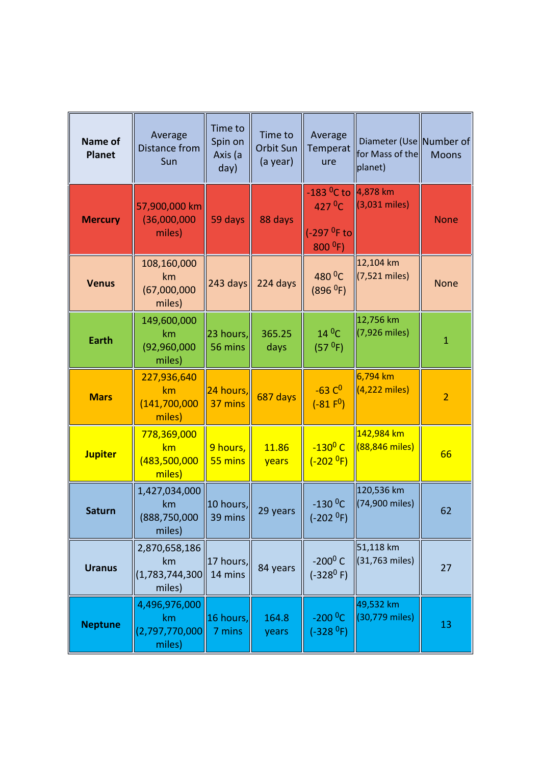| Name of<br><b>Planet</b> | Average<br>Distance from<br>Sun                     | Time to<br>Spin on<br>Axis (a<br>day) | Time to<br>Orbit Sun<br>(a year) | Average<br>Temperat<br>ure                                                     | Diameter (Use Number of<br>for Mass of the<br>planet) | <b>Moons</b>   |
|--------------------------|-----------------------------------------------------|---------------------------------------|----------------------------------|--------------------------------------------------------------------------------|-------------------------------------------------------|----------------|
| <b>Mercury</b>           | 57,900,000 km<br>(36,000,000)<br>miles)             | 59 days                               | 88 days                          | -183 <sup>0</sup> C to<br>$427$ <sup>O</sup> C<br>(-297 $0$ F to<br>$800^{0}F$ | $\ 4,878\ $ km<br>$(3,031$ miles)                     | <b>None</b>    |
| <b>Venus</b>             | 108,160,000<br>km<br>(67,000,000)<br>miles)         | $243 \text{ days}$                    | 224 days                         | 480 <sup>0</sup> C<br>(896 <sup>0</sup> F)                                     | 12,104 km<br>(7,521 miles)                            | <b>None</b>    |
| <b>Earth</b>             | 149,600,000<br>km<br>(92, 960, 000)<br>miles)       | 23 hours,<br>56 mins                  | 365.25<br>days                   | $14^{\,0}$ C<br>(57 <sup>0</sup> F)                                            | 12,756 km<br>(7,926 miles)                            | $\mathbf{1}$   |
| <b>Mars</b>              | 227,936,640<br>km<br>(141, 700, 000)<br>miles)      | 24 hours,<br>37 mins                  | 687 days                         | $-63°$<br>$(-81 F0)$                                                           | 6,794 km<br>$(4,222 \text{ miles})$                   | $\overline{2}$ |
| <b>Jupiter</b>           | 778,369,000<br>km<br>(483,500,000<br>miles)         | 9 hours,<br>55 mins                   | 11.86<br>years                   | $-130^0$ C<br>$(-2020F)$                                                       | 142,984 km<br>(88,846 miles)                          | 66             |
| <b>Saturn</b>            | 1,427,034,000<br>km<br>(888,750,000<br>miles)       | 10 hours,<br>39 mins                  | 29 years                         | $-130$ <sup>O</sup> C<br>(-202 <sup>0</sup> F)                                 | 120,536 km<br>(74,900 miles)                          | 62             |
| <b>Uranus</b>            | 2,870,658,186<br>km<br>(1, 783, 744, 300)<br>miles) | 17 hours,<br>14 mins                  | 84 years                         | $-200^0$ C<br>$(-328^0)$ F)                                                    | 51,118 km<br>(31,763 miles)                           | 27             |
| <b>Neptune</b>           | 4,496,976,000<br>km<br>(2,797,770,000<br>miles)     | $\ 16\text{ hours.}\ $<br>7 mins      | 164.8<br>years                   | $-200^{\circ}$ C<br>(-328 <sup>0</sup> F)                                      | 49,532 km<br>(30,779 miles)                           | 13             |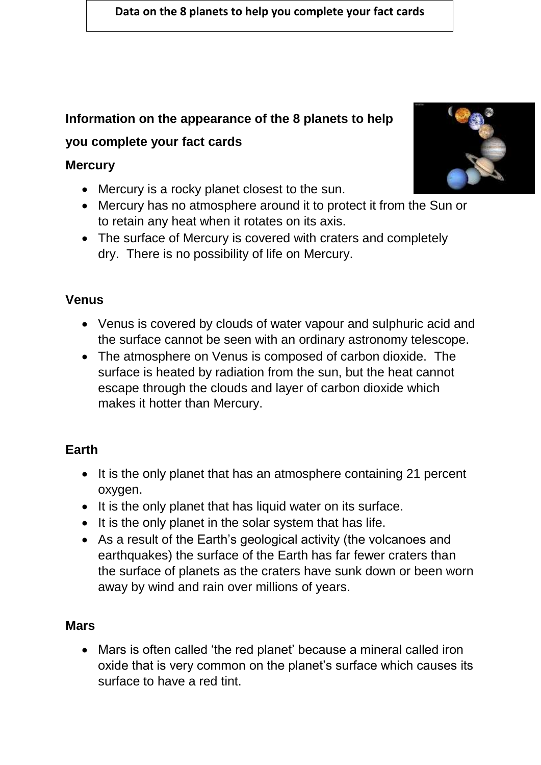#### **Data on the 8 planets to help you complete your fact cards**

# **Information on the appearance of the 8 planets to help**

### **you complete your fact cards**

#### **Mercury**

- Mercury is a rocky planet closest to the sun.
- Mercury has no atmosphere around it to protect it from the Sun or to retain any heat when it rotates on its axis.
- The surface of Mercury is covered with craters and completely dry. There is no possibility of life on Mercury.

### **Venus**

- Venus is covered by clouds of water vapour and sulphuric acid and the surface cannot be seen with an ordinary astronomy telescope.
- The atmosphere on Venus is composed of carbon dioxide. The surface is heated by radiation from the sun, but the heat cannot escape through the clouds and layer of carbon dioxide which makes it hotter than Mercury.

# **Earth**

- It is the only planet that has an atmosphere containing 21 percent oxygen.
- It is the only planet that has liquid water on its surface.
- It is the only planet in the solar system that has life.
- As a result of the Earth's geological activity (the volcanoes and earthquakes) the surface of the Earth has far fewer craters than the surface of planets as the craters have sunk down or been worn away by wind and rain over millions of years.

### **Mars**

 Mars is often called 'the red planet' because a mineral called iron oxide that is very common on the planet's surface which causes its surface to have a red tint.